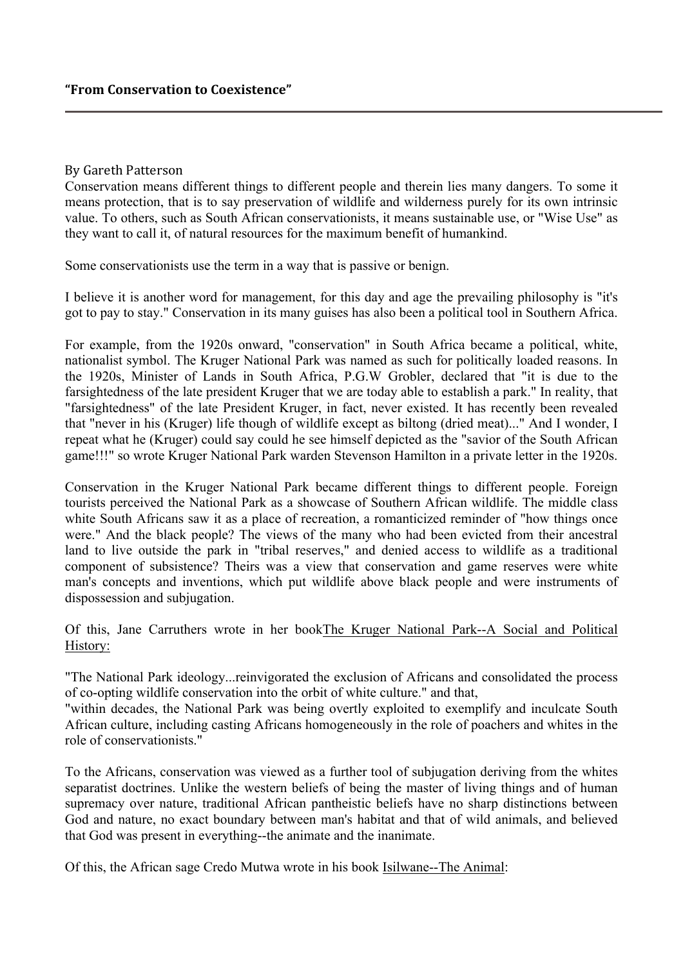## By Gareth Patterson

Conservation means different things to different people and therein lies many dangers. To some it means protection, that is to say preservation of wildlife and wilderness purely for its own intrinsic value. To others, such as South African conservationists, it means sustainable use, or "Wise Use" as they want to call it, of natural resources for the maximum benefit of humankind.

Some conservationists use the term in a way that is passive or benign.

I believe it is another word for management, for this day and age the prevailing philosophy is "it's got to pay to stay." Conservation in its many guises has also been a political tool in Southern Africa.

For example, from the 1920s onward, "conservation" in South Africa became a political, white, nationalist symbol. The Kruger National Park was named as such for politically loaded reasons. In the 1920s, Minister of Lands in South Africa, P.G.W Grobler, declared that "it is due to the farsightedness of the late president Kruger that we are today able to establish a park." In reality, that "farsightedness" of the late President Kruger, in fact, never existed. It has recently been revealed that "never in his (Kruger) life though of wildlife except as biltong (dried meat)..." And I wonder, I repeat what he (Kruger) could say could he see himself depicted as the "savior of the South African game!!!" so wrote Kruger National Park warden Stevenson Hamilton in a private letter in the 1920s.

Conservation in the Kruger National Park became different things to different people. Foreign tourists perceived the National Park as a showcase of Southern African wildlife. The middle class white South Africans saw it as a place of recreation, a romanticized reminder of "how things once were." And the black people? The views of the many who had been evicted from their ancestral land to live outside the park in "tribal reserves," and denied access to wildlife as a traditional component of subsistence? Theirs was a view that conservation and game reserves were white man's concepts and inventions, which put wildlife above black people and were instruments of dispossession and subjugation.

Of this, Jane Carruthers wrote in her bookThe Kruger National Park--A Social and Political History:

"The National Park ideology...reinvigorated the exclusion of Africans and consolidated the process of co-opting wildlife conservation into the orbit of white culture." and that,

"within decades, the National Park was being overtly exploited to exemplify and inculcate South African culture, including casting Africans homogeneously in the role of poachers and whites in the role of conservationists."

To the Africans, conservation was viewed as a further tool of subjugation deriving from the whites separatist doctrines. Unlike the western beliefs of being the master of living things and of human supremacy over nature, traditional African pantheistic beliefs have no sharp distinctions between God and nature, no exact boundary between man's habitat and that of wild animals, and believed that God was present in everything--the animate and the inanimate.

Of this, the African sage Credo Mutwa wrote in his book Isilwane--The Animal: